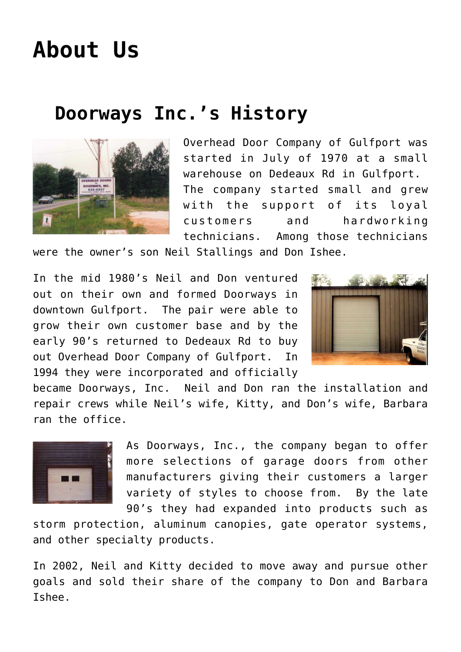## **[About Us](https://msdoorways.com/about-us/)**

## **Doorways Inc.'s History**



Overhead Door Company of Gulfport was started in July of 1970 at a small warehouse on Dedeaux Rd in Gulfport. The company started small and grew with the support of its loyal customers and hardworking technicians. Among those technicians

were the owner's son Neil Stallings and Don Ishee.

In the mid 1980's Neil and Don ventured out on their own and formed Doorways in downtown Gulfport. The pair were able to grow their own customer base and by the early 90's returned to Dedeaux Rd to buy out Overhead Door Company of Gulfport. In 1994 they were incorporated and officially



became Doorways, Inc. Neil and Don ran the installation and repair crews while Neil's wife, Kitty, and Don's wife, Barbara ran the office.



As Doorways, Inc., the company began to offer more selections of garage doors from other manufacturers giving their customers a larger variety of styles to choose from. By the late 90's they had expanded into products such as

storm protection, aluminum canopies, gate operator systems, and other specialty products.

In 2002, Neil and Kitty decided to move away and pursue other goals and sold their share of the company to Don and Barbara Ishee.